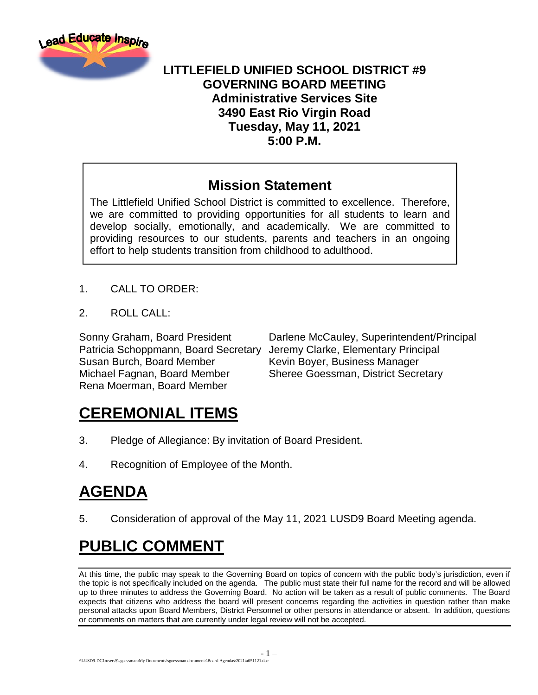

#### **LITTLEFIELD UNIFIED SCHOOL DISTRICT #9 GOVERNING BOARD MEETING Administrative Services Site 3490 East Rio Virgin Road Tuesday, May 11, 2021 5:00 P.M.**

#### **Mission Statement**

The Littlefield Unified School District is committed to excellence. Therefore, we are committed to providing opportunities for all students to learn and develop socially, emotionally, and academically. We are committed to providing resources to our students, parents and teachers in an ongoing effort to help students transition from childhood to adulthood.

- 1. CALL TO ORDER:
- 2. ROLL CALL:

Patricia Schoppmann, Board Secretary Jeremy Clarke, Elementary Principal Susan Burch, Board Member Kevin Boyer, Business Manager Michael Fagnan, Board Member Sheree Goessman, District Secretary Rena Moerman, Board Member

Sonny Graham, Board President Darlene McCauley, Superintendent/Principal

## **CEREMONIAL ITEMS**

- 3. Pledge of Allegiance: By invitation of Board President.
- 4. Recognition of Employee of the Month.

# **AGENDA**

5. Consideration of approval of the May 11, 2021 LUSD9 Board Meeting agenda.

# **PUBLIC COMMENT**

At this time, the public may speak to the Governing Board on topics of concern with the public body's jurisdiction, even if the topic is not specifically included on the agenda. The public must state their full name for the record and will be allowed up to three minutes to address the Governing Board. No action will be taken as a result of public comments. The Board expects that citizens who address the board will present concerns regarding the activities in question rather than make personal attacks upon Board Members, District Personnel or other persons in attendance or absent. In addition, questions or comments on matters that are currently under legal review will not be accepted.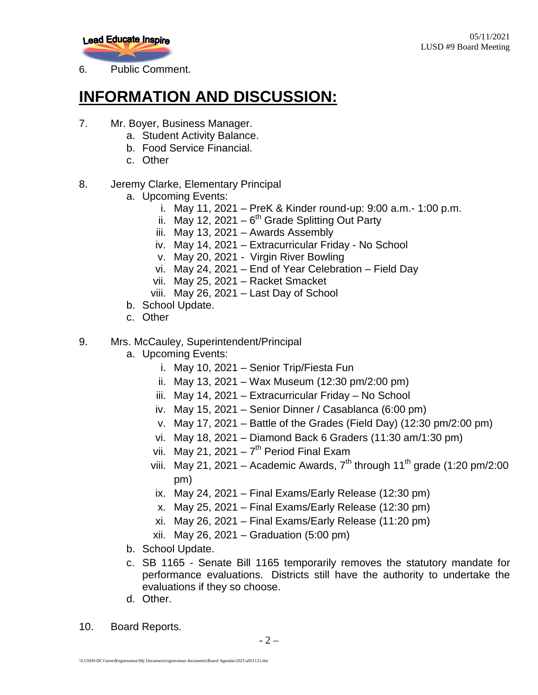

6. Public Comment.

## **INFORMATION AND DISCUSSION:**

- 7. Mr. Boyer, Business Manager.
	- a. Student Activity Balance.
	- b. Food Service Financial.
	- c. Other
- 8. Jeremy Clarke, Elementary Principal
	- a. Upcoming Events:
		- i. May 11, 2021 PreK & Kinder round-up: 9:00 a.m.- 1:00 p.m.
		- ii. May 12, 2021  $6<sup>th</sup>$  Grade Splitting Out Party
		- iii. May 13, 2021 Awards Assembly
		- iv. May 14, 2021 Extracurricular Friday No School
		- v. May 20, 2021 Virgin River Bowling
		- vi. May 24, 2021 End of Year Celebration Field Day
		- vii. May 25, 2021 Racket Smacket
		- viii. May 26, 2021 Last Day of School
	- b. School Update.
	- c. Other
- 9. Mrs. McCauley, Superintendent/Principal
	- a. Upcoming Events:
		- i. May 10, 2021 Senior Trip/Fiesta Fun
		- ii. May 13, 2021 Wax Museum (12:30 pm/2:00 pm)
		- iii. May 14, 2021 Extracurricular Friday No School
		- iv. May 15, 2021 Senior Dinner / Casablanca (6:00 pm)
		- v. May 17, 2021 Battle of the Grades (Field Day) (12:30 pm/2:00 pm)
		- vi. May 18, 2021 Diamond Back 6 Graders (11:30 am/1:30 pm)
		- vii. May 21, 2021  $7<sup>th</sup>$  Period Final Exam
		- viii. May 21, 2021 Academic Awards,  $7<sup>th</sup>$  through 11<sup>th</sup> grade (1:20 pm/2:00 pm)
			- ix. May 24, 2021 Final Exams/Early Release (12:30 pm)
			- x. May 25, 2021 Final Exams/Early Release (12:30 pm)
		- xi. May 26, 2021 Final Exams/Early Release (11:20 pm)
		- xii. May 26, 2021 Graduation (5:00 pm)
	- b. School Update.
	- c. SB 1165 Senate Bill 1165 temporarily removes the statutory mandate for performance evaluations. Districts still have the authority to undertake the evaluations if they so choose.
	- d. Other.
- 10. Board Reports.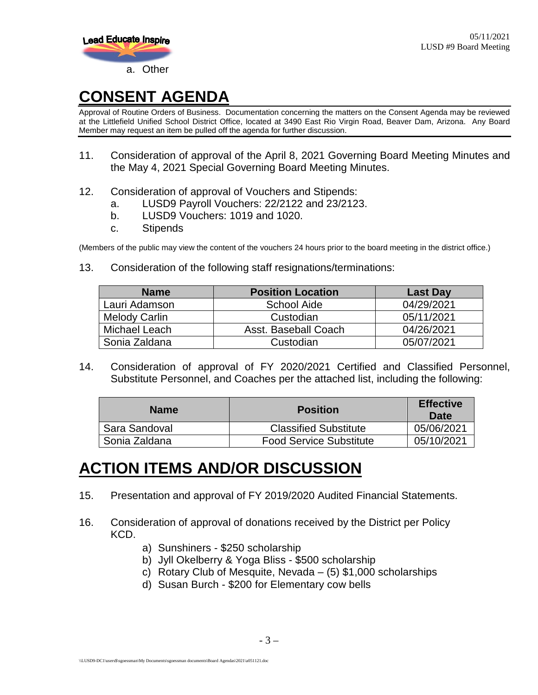

## **CONSENT AGENDA**

Approval of Routine Orders of Business. Documentation concerning the matters on the Consent Agenda may be reviewed at the Littlefield Unified School District Office, located at 3490 East Rio Virgin Road, Beaver Dam, Arizona. Any Board Member may request an item be pulled off the agenda for further discussion.

- 11. Consideration of approval of the April 8, 2021 Governing Board Meeting Minutes and the May 4, 2021 Special Governing Board Meeting Minutes.
- 12. Consideration of approval of Vouchers and Stipends:
	- a. LUSD9 Payroll Vouchers: 22/2122 and 23/2123.
	- b. LUSD9 Vouchers: 1019 and 1020.
	- c. Stipends

(Members of the public may view the content of the vouchers 24 hours prior to the board meeting in the district office.)

13. Consideration of the following staff resignations/terminations:

| <b>Name</b>          | <b>Position Location</b> | <b>Last Day</b> |
|----------------------|--------------------------|-----------------|
| Lauri Adamson        | <b>School Aide</b>       | 04/29/2021      |
| <b>Melody Carlin</b> | Custodian                | 05/11/2021      |
| Michael Leach        | Asst. Baseball Coach     | 04/26/2021      |
| Sonia Zaldana        | Custodian                | 05/07/2021      |

14. Consideration of approval of FY 2020/2021 Certified and Classified Personnel, Substitute Personnel, and Coaches per the attached list, including the following:

| <b>Name</b>   | <b>Position</b>                | <b>Effective</b><br>Date |
|---------------|--------------------------------|--------------------------|
| Sara Sandoval | <b>Classified Substitute</b>   | 05/06/2021               |
| Sonia Zaldana | <b>Food Service Substitute</b> | 05/10/2021               |

#### **ACTION ITEMS AND/OR DISCUSSION**

- 15. Presentation and approval of FY 2019/2020 Audited Financial Statements.
- 16. Consideration of approval of donations received by the District per Policy KCD.
	- a) Sunshiners \$250 scholarship
	- b) Jyll Okelberry & Yoga Bliss \$500 scholarship
	- c) Rotary Club of Mesquite, Nevada (5) \$1,000 scholarships
	- d) Susan Burch \$200 for Elementary cow bells